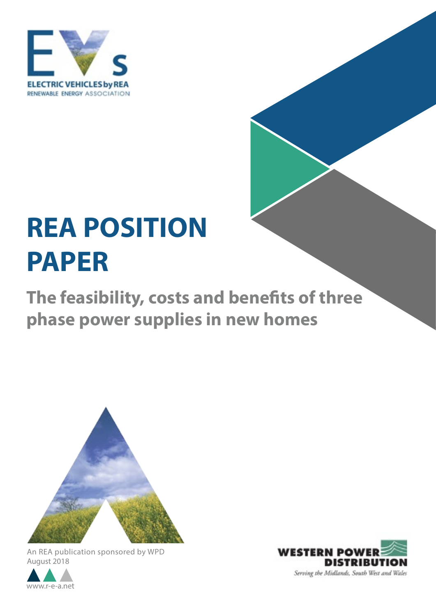

# **REA POSITION PAPER**

**The feasibility, costs and benefits of three phase power supplies in new homes**



An REA publication sponsored by WPD August 2018



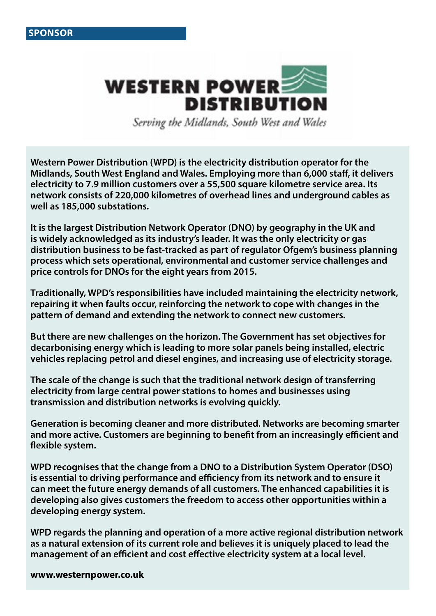

Serving the Midlands, South West and Wales

**Western Power Distribution (WPD) is the electricity distribution operator for the Midlands, South West England and Wales. Employing more than 6,000 staff, it delivers electricity to 7.9 million customers over a 55,500 square kilometre service area. Its network consists of 220,000 kilometres of overhead lines and underground cables as well as 185,000 substations.** 

**It is the largest Distribution Network Operator (DNO) by geography in the UK and is widely acknowledged as its industry's leader. It was the only electricity or gas distribution business to be fast-tracked as part of regulator Ofgem's business planning process which sets operational, environmental and customer service challenges and price controls for DNOs for the eight years from 2015.** 

**Traditionally, WPD's responsibilities have included maintaining the electricity network, repairing it when faults occur, reinforcing the network to cope with changes in the pattern of demand and extending the network to connect new customers.** 

**But there are new challenges on the horizon. The Government has set objectives for decarbonising energy which is leading to more solar panels being installed, electric vehicles replacing petrol and diesel engines, and increasing use of electricity storage.** 

**The scale of the change is such that the traditional network design of transferring electricity from large central power stations to homes and businesses using transmission and distribution networks is evolving quickly.**

**Generation is becoming cleaner and more distributed. Networks are becoming smarter and more active. Customers are beginning to benefit from an increasingly efficient and flexible system.**

**WPD recognises that the change from a DNO to a Distribution System Operator (DSO) is essential to driving performance and efficiency from its network and to ensure it can meet the future energy demands of all customers. The enhanced capabilities it is developing also gives customers the freedom to access other opportunities within a developing energy system.**

**WPD regards the planning and operation of a more active regional distribution network as a natural extension of its current role and believes it is uniquely placed to lead the management of an efficient and cost effective electricity system at a local level.**

**www.westernpower.co.uk**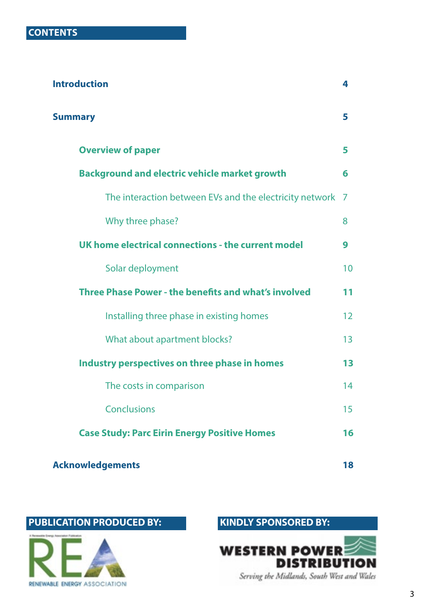| <b>Introduction</b>                                         |    |
|-------------------------------------------------------------|----|
| <b>Summary</b>                                              | 5  |
| <b>Overview of paper</b>                                    | 5  |
| <b>Background and electric vehicle market growth</b>        | 6  |
| The interaction between EVs and the electricity network     | 7  |
| Why three phase?                                            | 8  |
| UK home electrical connections - the current model          | 9  |
| Solar deployment                                            | 10 |
| <b>Three Phase Power - the benefits and what's involved</b> | 11 |
| Installing three phase in existing homes                    | 12 |
| What about apartment blocks?                                | 13 |
| Industry perspectives on three phase in homes               | 13 |
| The costs in comparison                                     | 14 |
| <b>Conclusions</b>                                          | 15 |
| <b>Case Study: Parc Eirin Energy Positive Homes</b>         | 16 |
| <b>Acknowledgements</b>                                     | 18 |

**PUBLICATION PRODUCED BY:**



# **KINDLY SPONSORED BY:**



Serving the Midlands, South West and Wales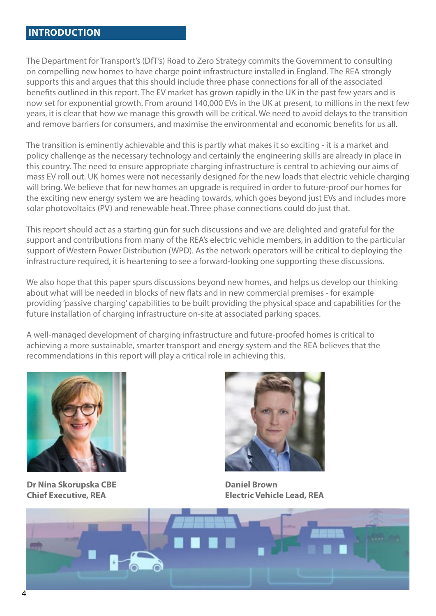#### **INTRODUCTION**

The Department for Transport's (DfT's) Road to Zero Strategy commits the Government to consulting on compelling new homes to have charge point infrastructure installed in England. The REA strongly supports this and argues that this should include three phase connections for all of the associated benefits outlined in this report. The EV market has grown rapidly in the UK in the past few years and is now set for exponential growth. From around 140,000 EVs in the UK at present, to millions in the next few years, it is clear that how we manage this growth will be critical. We need to avoid delays to the transition and remove barriers for consumers, and maximise the environmental and economic benefits for us all.

The transition is eminently achievable and this is partly what makes it so exciting - it is a market and policy challenge as the necessary technology and certainly the engineering skills are already in place in this country. The need to ensure appropriate charging infrastructure is central to achieving our aims of mass EV roll out. UK homes were not necessarily designed for the new loads that electric vehicle charging will bring. We believe that for new homes an upgrade is required in order to future-proof our homes for the exciting new energy system we are heading towards, which goes beyond just EVs and includes more solar photovoltaics (PV) and renewable heat. Three phase connections could do just that.

This report should act as a starting gun for such discussions and we are delighted and grateful for the support and contributions from many of the REA's electric vehicle members, in addition to the particular support of Western Power Distribution (WPD). As the network operators will be critical to deploying the infrastructure required, it is heartening to see a forward-looking one supporting these discussions.

We also hope that this paper spurs discussions beyond new homes, and helps us develop our thinking about what will be needed in blocks of new flats and in new commercial premises - for example providing 'passive charging' capabilities to be built providing the physical space and capabilities for the future installation of charging infrastructure on-site at associated parking spaces.

A well-managed development of charging infrastructure and future-proofed homes is critical to achieving a more sustainable, smarter transport and energy system and the REA believes that the recommendations in this report will play a critical role in achieving this.



**Dr Nina Skorupska CBE Chief Executive, REA**



**Daniel Brown Electric Vehicle Lead, REA**

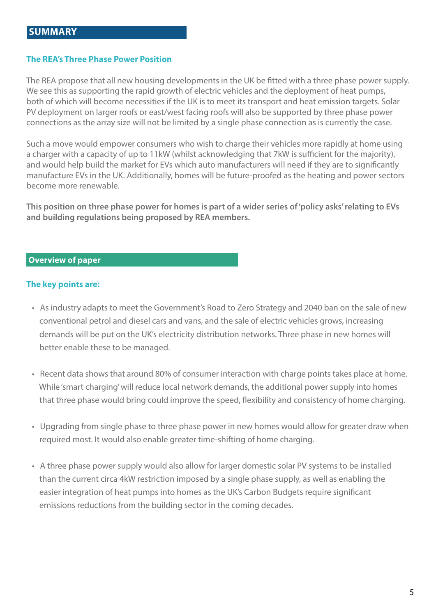#### **The REA's Three Phase Power Position**

The REA propose that all new housing developments in the UK be fitted with a three phase power supply. We see this as supporting the rapid growth of electric vehicles and the deployment of heat pumps, both of which will become necessities if the UK is to meet its transport and heat emission targets. Solar PV deployment on larger roofs or east/west facing roofs will also be supported by three phase power connections as the array size will not be limited by a single phase connection as is currently the case.

Such a move would empower consumers who wish to charge their vehicles more rapidly at home using a charger with a capacity of up to 11kW (whilst acknowledging that 7kW is sufficient for the majority), and would help build the market for EVs which auto manufacturers will need if they are to significantly manufacture EVs in the UK. Additionally, homes will be future-proofed as the heating and power sectors become more renewable.

**This position on three phase power for homes is part of a wider series of 'policy asks' relating to EVs and building regulations being proposed by REA members.** 

l,

#### **Overview of paper**

#### **The key points are:**

- As industry adapts to meet the Government's Road to Zero Strategy and 2040 ban on the sale of new conventional petrol and diesel cars and vans, and the sale of electric vehicles grows, increasing demands will be put on the UK's electricity distribution networks. Three phase in new homes will better enable these to be managed.
- Recent data shows that around 80% of consumer interaction with charge points takes place at home. While 'smart charging' will reduce local network demands, the additional power supply into homes that three phase would bring could improve the speed, flexibility and consistency of home charging.
- Upgrading from single phase to three phase power in new homes would allow for greater draw when required most. It would also enable greater time-shifting of home charging.
- A three phase power supply would also allow for larger domestic solar PV systems to be installed than the current circa 4kW restriction imposed by a single phase supply, as well as enabling the easier integration of heat pumps into homes as the UK's Carbon Budgets require significant emissions reductions from the building sector in the coming decades.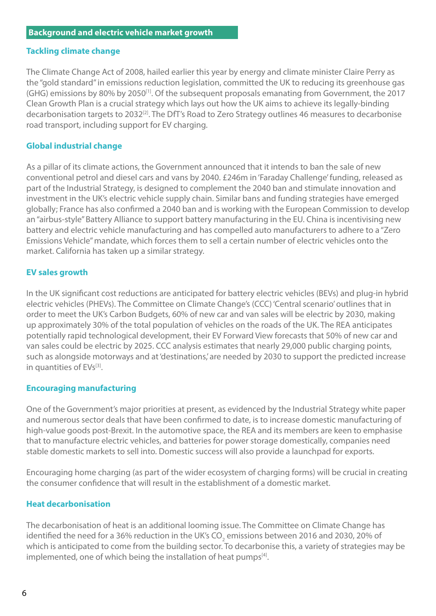#### **Tackling climate change**

The Climate Change Act of 2008, hailed earlier this year by energy and climate minister Claire Perry as the "gold standard" in emissions reduction legislation, committed the UK to reducing its greenhouse gas  $(GHG)$  emissions by 80% by 2050<sup>[1]</sup>. Of the subsequent proposals emanating from Government, the 2017 Clean Growth Plan is a crucial strategy which lays out how the UK aims to achieve its legally-binding decarbonisation targets to 2032[2]. The DfT's Road to Zero Strategy outlines 46 measures to decarbonise road transport, including support for EV charging.

#### **Global industrial change**

As a pillar of its climate actions, the Government announced that it intends to ban the sale of new conventional petrol and diesel cars and vans by 2040. £246m in 'Faraday Challenge' funding, released as part of the Industrial Strategy, is designed to complement the 2040 ban and stimulate innovation and investment in the UK's electric vehicle supply chain. Similar bans and funding strategies have emerged globally; France has also confirmed a 2040 ban and is working with the European Commission to develop an "airbus-style" Battery Alliance to support battery manufacturing in the EU. China is incentivising new battery and electric vehicle manufacturing and has compelled auto manufacturers to adhere to a "Zero Emissions Vehicle" mandate, which forces them to sell a certain number of electric vehicles onto the market. California has taken up a similar strategy.

#### **EV sales growth**

In the UK significant cost reductions are anticipated for battery electric vehicles (BEVs) and plug-in hybrid electric vehicles (PHEVs). The Committee on Climate Change's (CCC) 'Central scenario' outlines that in order to meet the UK's Carbon Budgets, 60% of new car and van sales will be electric by 2030, making up approximately 30% of the total population of vehicles on the roads of the UK. The REA anticipates potentially rapid technological development, their EV Forward View forecasts that 50% of new car and van sales could be electric by 2025. CCC analysis estimates that nearly 29,000 public charging points, such as alongside motorways and at 'destinations,' are needed by 2030 to support the predicted increase in quantities of EVs<sup>[3]</sup>.

#### **Encouraging manufacturing**

One of the Government's major priorities at present, as evidenced by the Industrial Strategy white paper and numerous sector deals that have been confirmed to date, is to increase domestic manufacturing of high-value goods post-Brexit. In the automotive space, the REA and its members are keen to emphasise that to manufacture electric vehicles, and batteries for power storage domestically, companies need stable domestic markets to sell into. Domestic success will also provide a launchpad for exports.

Encouraging home charging (as part of the wider ecosystem of charging forms) will be crucial in creating the consumer confidence that will result in the establishment of a domestic market.

#### **Heat decarbonisation**

The decarbonisation of heat is an additional looming issue. The Committee on Climate Change has identified the need for a 36% reduction in the UK's CO<sub>2</sub> emissions between 2016 and 2030, 20% of which is anticipated to come from the building sector. To decarbonise this, a variety of strategies may be implemented, one of which being the installation of heat pumps<sup>[4]</sup>.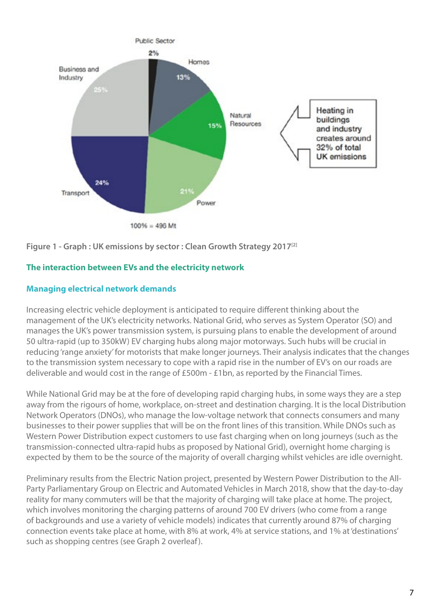

Figure 1 - Graph : UK emissions by sector : Clean Growth Strategy 2017<sup>[2]</sup>

#### **The interaction between EVs and the electricity network**

#### **Managing electrical network demands**

Increasing electric vehicle deployment is anticipated to require different thinking about the management of the UK's electricity networks. National Grid, who serves as System Operator (SO) and manages the UK's power transmission system, is pursuing plans to enable the development of around 50 ultra-rapid (up to 350kW) EV charging hubs along major motorways. Such hubs will be crucial in reducing 'range anxiety' for motorists that make longer journeys. Their analysis indicates that the changes to the transmission system necessary to cope with a rapid rise in the number of EV's on our roads are deliverable and would cost in the range of £500m - £1bn, as reported by the Financial Times.

While National Grid may be at the fore of developing rapid charging hubs, in some ways they are a step away from the rigours of home, workplace, on-street and destination charging. It is the local Distribution Network Operators (DNOs), who manage the low-voltage network that connects consumers and many businesses to their power supplies that will be on the front lines of this transition. While DNOs such as Western Power Distribution expect customers to use fast charging when on long journeys (such as the transmission-connected ultra-rapid hubs as proposed by National Grid), overnight home charging is expected by them to be the source of the majority of overall charging whilst vehicles are idle overnight.

Preliminary results from the Electric Nation project, presented by Western Power Distribution to the All-Party Parliamentary Group on Electric and Automated Vehicles in March 2018, show that the day-to-day reality for many commuters will be that the majority of charging will take place at home. The project, which involves monitoring the charging patterns of around 700 EV drivers (who come from a range of backgrounds and use a variety of vehicle models) indicates that currently around 87% of charging connection events take place at home, with 8% at work, 4% at service stations, and 1% at 'destinations' such as shopping centres (see Graph 2 overleaf).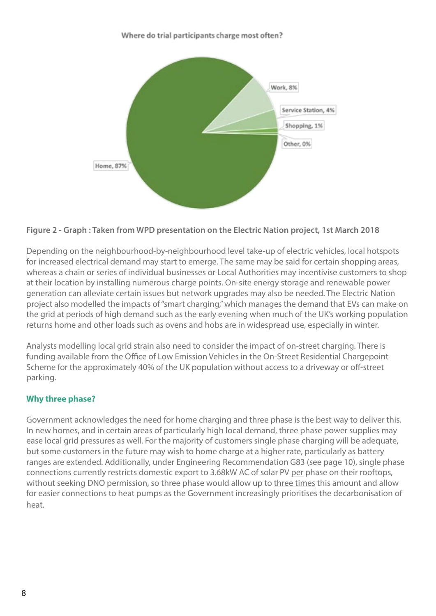#### Where do trial participants charge most often?



#### **Figure 2 - Graph : Taken from WPD presentation on the Electric Nation project, 1st March 2018**

Depending on the neighbourhood-by-neighbourhood level take-up of electric vehicles, local hotspots for increased electrical demand may start to emerge. The same may be said for certain shopping areas, whereas a chain or series of individual businesses or Local Authorities may incentivise customers to shop at their location by installing numerous charge points. On-site energy storage and renewable power generation can alleviate certain issues but network upgrades may also be needed. The Electric Nation project also modelled the impacts of "smart charging," which manages the demand that EVs can make on the grid at periods of high demand such as the early evening when much of the UK's working population returns home and other loads such as ovens and hobs are in widespread use, especially in winter.

Analysts modelling local grid strain also need to consider the impact of on-street charging. There is funding available from the Office of Low Emission Vehicles in the On-Street Residential Chargepoint Scheme for the approximately 40% of the UK population without access to a driveway or off-street parking.

#### **Why three phase?**

Government acknowledges the need for home charging and three phase is the best way to deliver this. In new homes, and in certain areas of particularly high local demand, three phase power supplies may ease local grid pressures as well. For the majority of customers single phase charging will be adequate, but some customers in the future may wish to home charge at a higher rate, particularly as battery ranges are extended. Additionally, under Engineering Recommendation G83 (see page 10), single phase connections currently restricts domestic export to 3.68kW AC of solar PV per phase on their rooftops, without seeking DNO permission, so three phase would allow up to three times this amount and allow for easier connections to heat pumps as the Government increasingly prioritises the decarbonisation of heat.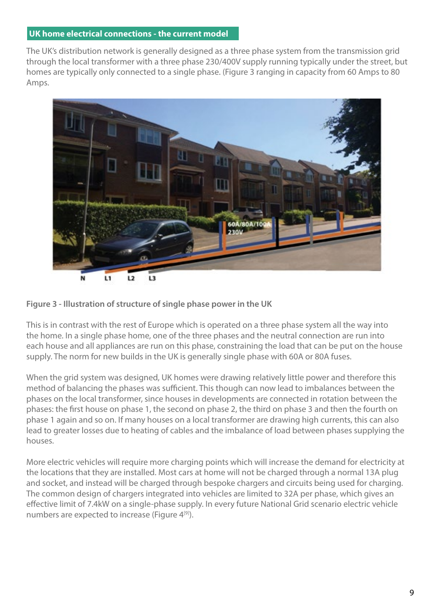#### **UK home electrical connections - the current model**

The UK's distribution network is generally designed as a three phase system from the transmission grid through the local transformer with a three phase 230/400V supply running typically under the street, but homes are typically only connected to a single phase. (Figure 3 ranging in capacity from 60 Amps to 80 Amps.





This is in contrast with the rest of Europe which is operated on a three phase system all the way into the home. In a single phase home, one of the three phases and the neutral connection are run into each house and all appliances are run on this phase, constraining the load that can be put on the house supply. The norm for new builds in the UK is generally single phase with 60A or 80A fuses.

When the grid system was designed, UK homes were drawing relatively little power and therefore this method of balancing the phases was sufficient. This though can now lead to imbalances between the phases on the local transformer, since houses in developments are connected in rotation between the phases: the first house on phase 1, the second on phase 2, the third on phase 3 and then the fourth on phase 1 again and so on. If many houses on a local transformer are drawing high currents, this can also lead to greater losses due to heating of cables and the imbalance of load between phases supplying the houses.

More electric vehicles will require more charging points which will increase the demand for electricity at the locations that they are installed. Most cars at home will not be charged through a normal 13A plug and socket, and instead will be charged through bespoke chargers and circuits being used for charging. The common design of chargers integrated into vehicles are limited to 32A per phase, which gives an effective limit of 7.4kW on a single-phase supply. In every future National Grid scenario electric vehicle numbers are expected to increase (Figure 4<sup>[9]</sup>).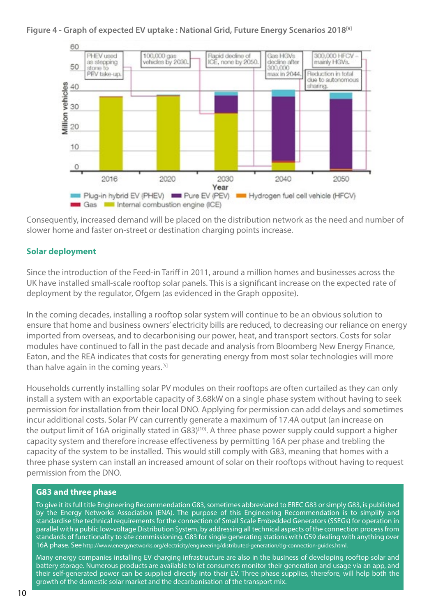#### **Figure 4 - Graph of expected EV uptake : National Grid, Future Energy Scenarios 2018[9]**



Consequently, increased demand will be placed on the distribution network as the need and number of slower home and faster on-street or destination charging points increase.

#### **Solar deployment**

Since the introduction of the Feed-in Tariff in 2011, around a million homes and businesses across the UK have installed small-scale rooftop solar panels. This is a significant increase on the expected rate of deployment by the regulator, Ofgem (as evidenced in the Graph opposite).

In the coming decades, installing a rooftop solar system will continue to be an obvious solution to ensure that home and business owners' electricity bills are reduced, to decreasing our reliance on energy imported from overseas, and to decarbonising our power, heat, and transport sectors. Costs for solar modules have continued to fall in the past decade and analysis from Bloomberg New Energy Finance, Eaton, and the REA indicates that costs for generating energy from most solar technologies will more than halve again in the coming years.<sup>[5]</sup>

Households currently installing solar PV modules on their rooftops are often curtailed as they can only install a system with an exportable capacity of 3.68kW on a single phase system without having to seek permission for installation from their local DNO. Applying for permission can add delays and sometimes incur additional costs. Solar PV can currently generate a maximum of 17.4A output (an increase on the output limit of 16A originally stated in G83)<sup>[10]</sup>. A three phase power supply could support a higher capacity system and therefore increase effectiveness by permitting 16A per phase and trebling the capacity of the system to be installed. This would still comply with G83, meaning that homes with a three phase system can install an increased amount of solar on their rooftops without having to request permission from the DNO.

#### **G83 and three phase**

To give it its full title Engineering Recommendation G83, sometimes abbreviated to EREC G83 or simply G83, is published by the Energy Networks Association (ENA). The purpose of this Engineering Recommendation is to simplify and standardise the technical requirements for the connection of Small Scale Embedded Generators (SSEGs) for operation in parallel with a public low-voltage Distribution System, by addressing all technical aspects of the connection process from standards of functionality to site commissioning. G83 for single generating stations with G59 dealing with anything over 16A phase. See http://www.energynetworks.org/electricity/engineering/distributed-generation/dg-connection-guides.html.

Many energy companies installing EV charging infrastructure are also in the business of developing rooftop solar and battery storage. Numerous products are available to let consumers monitor their generation and usage via an app, and their self-generated power can be supplied directly into their EV. Three phase supplies, therefore, will help both the growth of the domestic solar market and the decarbonisation of the transport mix.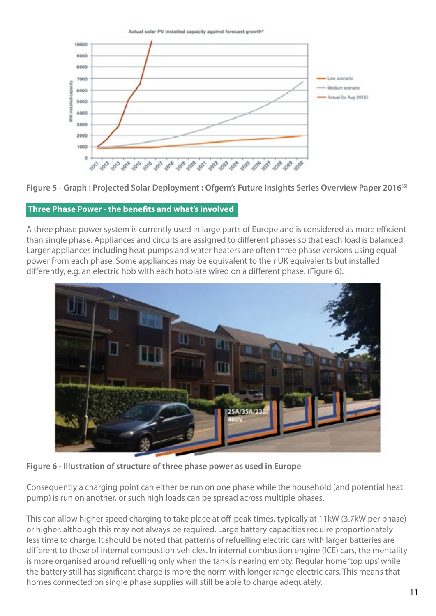

**Figure 5 - Graph : Projected Solar Deployment : Ofgem's Future Insights Series Overview Paper 2016[6]**

#### **Three Phase Power - the benefits and what's involved**

A three phase power system is currently used in large parts of Europe and is considered as more efficient than single phase. Appliances and circuits are assigned to different phases so that each load is balanced. Larger appliances including heat pumps and water heaters are often three phase versions using equal power from each phase. Some appliances may be equivalent to their UK equivalents but installed differently, e.g. an electric hob with each hotplate wired on a different phase. (Figure 6).



**Figure 6 - Illustration of structure of three phase power as used in Europe**

Consequently a charging point can either be run on one phase while the household (and potential heat pump) is run on another, or such high loads can be spread across multiple phases.

This can allow higher speed charging to take place at off-peak times, typically at 11kW (3.7kW per phase) or higher, although this may not always be required. Large battery capacities require proportionately less time to charge. It should be noted that patterns of refuelling electric cars with larger batteries are different to those of internal combustion vehicles. In internal combustion engine (ICE) cars, the mentality is more organised around refuelling only when the tank is nearing empty. Regular home 'top ups' while the battery still has significant charge is more the norm with longer range electric cars. This means that homes connected on single phase supplies will still be able to charge adequately.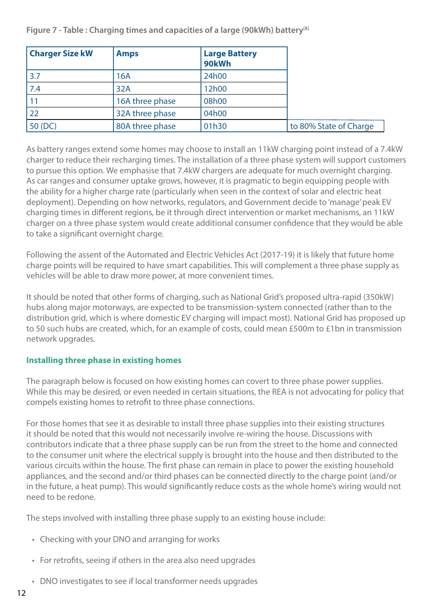**Figure 7 - Table : Charging times and capacities of a large (90kWh) battery[8]**

| <b>Charger Size kW</b> | <b>Amps</b>     | <b>Large Battery</b><br>90kWh |                        |
|------------------------|-----------------|-------------------------------|------------------------|
| 3.7                    | 16A             | 24h00                         |                        |
| 7.4                    | 32A             | 12h00                         |                        |
|                        | 16A three phase | 08h00                         |                        |
| 22                     | 32A three phase | 04h00                         |                        |
| 50 (DC)                | 80A three phase | 01h30                         | to 80% State of Charge |

As battery ranges extend some homes may choose to install an 11kW charging point instead of a 7.4kW charger to reduce their recharging times. The installation of a three phase system will support customers to pursue this option. We emphasise that 7.4kW chargers are adequate for much overnight charging. As car ranges and consumer uptake grows, however, it is pragmatic to begin equipping people with the ability for a higher charge rate (particularly when seen in the context of solar and electric heat deployment). Depending on how networks, regulators, and Government decide to 'manage' peak EV charging times in different regions, be it through direct intervention or market mechanisms, an 11kW charger on a three phase system would create additional consumer confidence that they would be able to take a significant overnight charge.

Following the assent of the Automated and Electric Vehicles Act (2017-19) it is likely that future home charge points will be required to have smart capabilities. This will complement a three phase supply as vehicles will be able to draw more power, at more convenient times.

It should be noted that other forms of charging, such as National Grid's proposed ultra-rapid (350kW) hubs along major motorways, are expected to be transmission-system connected (rather than to the distribution grid, which is where domestic EV charging will impact most). National Grid has proposed up to 50 such hubs are created, which, for an example of costs, could mean £500m to £1bn in transmission network upgrades.

#### **Installing three phase in existing homes**

The paragraph below is focused on how existing homes can covert to three phase power supplies. While this may be desired, or even needed in certain situations, the REA is not advocating for policy that compels existing homes to retrofit to three phase connections.

For those homes that see it as desirable to install three phase supplies into their existing structures it should be noted that this would not necessarily involve re-wiring the house. Discussions with contributors indicate that a three phase supply can be run from the street to the home and connected to the consumer unit where the electrical supply is brought into the house and then distributed to the various circuits within the house. The first phase can remain in place to power the existing household appliances, and the second and/or third phases can be connected directly to the charge point (and/or in the future, a heat pump). This would significantly reduce costs as the whole home's wiring would not need to be redone.

The steps involved with installing three phase supply to an existing house include:

- Checking with your DNO and arranging for works
- For retrofits, seeing if others in the area also need upgrades
- DNO investigates to see if local transformer needs upgrades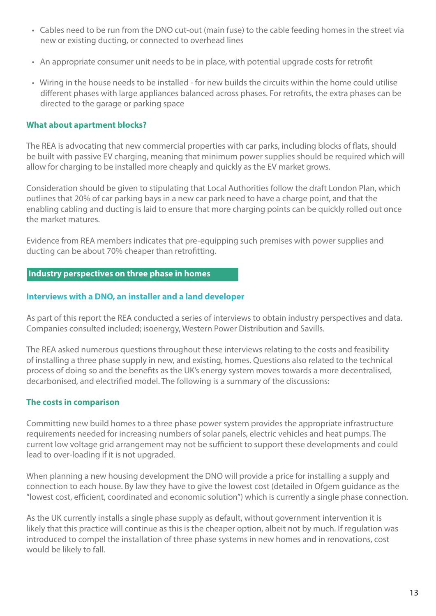- Cables need to be run from the DNO cut-out (main fuse) to the cable feeding homes in the street via new or existing ducting, or connected to overhead lines
- An appropriate consumer unit needs to be in place, with potential upgrade costs for retrofit
- Wiring in the house needs to be installed for new builds the circuits within the home could utilise different phases with large appliances balanced across phases. For retrofits, the extra phases can be directed to the garage or parking space

#### **What about apartment blocks?**

The REA is advocating that new commercial properties with car parks, including blocks of flats, should be built with passive EV charging, meaning that minimum power supplies should be required which will allow for charging to be installed more cheaply and quickly as the EV market grows.

Consideration should be given to stipulating that Local Authorities follow the draft London Plan, which outlines that 20% of car parking bays in a new car park need to have a charge point, and that the enabling cabling and ducting is laid to ensure that more charging points can be quickly rolled out once the market matures.

Evidence from REA members indicates that pre-equipping such premises with power supplies and ducting can be about 70% cheaper than retrofitting.

#### **Industry perspectives on three phase in homes**

#### **Interviews with a DNO, an installer and a land developer**

As part of this report the REA conducted a series of interviews to obtain industry perspectives and data. Companies consulted included; isoenergy, Western Power Distribution and Savills.

The REA asked numerous questions throughout these interviews relating to the costs and feasibility of installing a three phase supply in new, and existing, homes. Questions also related to the technical process of doing so and the benefits as the UK's energy system moves towards a more decentralised, decarbonised, and electrified model. The following is a summary of the discussions:

#### **The costs in comparison**

Committing new build homes to a three phase power system provides the appropriate infrastructure requirements needed for increasing numbers of solar panels, electric vehicles and heat pumps. The current low voltage grid arrangement may not be sufficient to support these developments and could lead to over-loading if it is not upgraded.

When planning a new housing development the DNO will provide a price for installing a supply and connection to each house. By law they have to give the lowest cost (detailed in Ofgem guidance as the "lowest cost, efficient, coordinated and economic solution") which is currently a single phase connection.

As the UK currently installs a single phase supply as default, without government intervention it is likely that this practice will continue as this is the cheaper option, albeit not by much. If regulation was introduced to compel the installation of three phase systems in new homes and in renovations, cost would be likely to fall.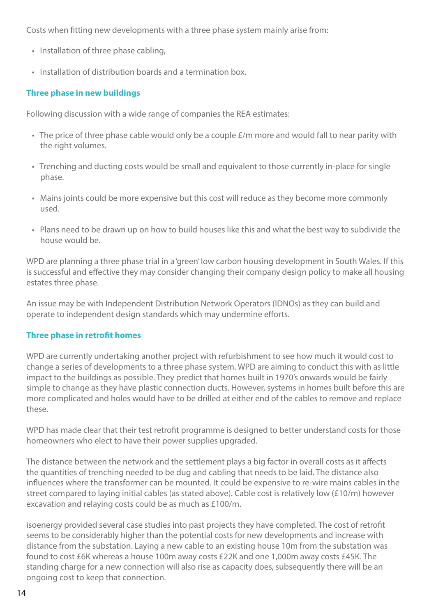Costs when fitting new developments with a three phase system mainly arise from:

- Installation of three phase cabling,
- Installation of distribution boards and a termination box.

#### **Three phase in new buildings**

Following discussion with a wide range of companies the REA estimates:

- The price of three phase cable would only be a couple £/m more and would fall to near parity with the right volumes.
- Trenching and ducting costs would be small and equivalent to those currently in-place for single phase.
- Mains joints could be more expensive but this cost will reduce as they become more commonly used.
- Plans need to be drawn up on how to build houses like this and what the best way to subdivide the house would be.

WPD are planning a three phase trial in a 'green' low carbon housing development in South Wales. If this is successful and effective they may consider changing their company design policy to make all housing estates three phase.

An issue may be with Independent Distribution Network Operators (IDNOs) as they can build and operate to independent design standards which may undermine efforts.

#### **Three phase in retrofit homes**

WPD are currently undertaking another project with refurbishment to see how much it would cost to change a series of developments to a three phase system. WPD are aiming to conduct this with as little impact to the buildings as possible. They predict that homes built in 1970's onwards would be fairly simple to change as they have plastic connection ducts. However, systems in homes built before this are more complicated and holes would have to be drilled at either end of the cables to remove and replace these.

WPD has made clear that their test retrofit programme is designed to better understand costs for those homeowners who elect to have their power supplies upgraded.

The distance between the network and the settlement plays a big factor in overall costs as it affects the quantities of trenching needed to be dug and cabling that needs to be laid. The distance also influences where the transformer can be mounted. It could be expensive to re-wire mains cables in the street compared to laying initial cables (as stated above). Cable cost is relatively low (£10/m) however excavation and relaying costs could be as much as £100/m.

isoenergy provided several case studies into past projects they have completed. The cost of retrofit seems to be considerably higher than the potential costs for new developments and increase with distance from the substation. Laying a new cable to an existing house 10m from the substation was found to cost £6K whereas a house 100m away costs £22K and one 1,000m away costs £45K. The standing charge for a new connection will also rise as capacity does, subsequently there will be an ongoing cost to keep that connection.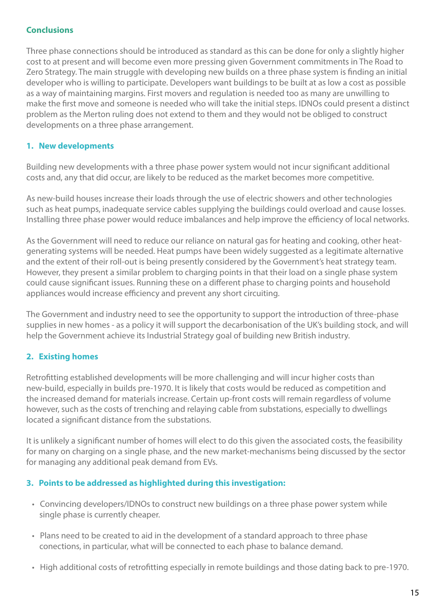#### **Conclusions**

Three phase connections should be introduced as standard as this can be done for only a slightly higher cost to at present and will become even more pressing given Government commitments in The Road to Zero Strategy. The main struggle with developing new builds on a three phase system is finding an initial developer who is willing to participate. Developers want buildings to be built at as low a cost as possible as a way of maintaining margins. First movers and regulation is needed too as many are unwilling to make the first move and someone is needed who will take the initial steps. IDNOs could present a distinct problem as the Merton ruling does not extend to them and they would not be obliged to construct developments on a three phase arrangement.

#### **1. New developments**

Building new developments with a three phase power system would not incur significant additional costs and, any that did occur, are likely to be reduced as the market becomes more competitive.

As new-build houses increase their loads through the use of electric showers and other technologies such as heat pumps, inadequate service cables supplying the buildings could overload and cause losses. Installing three phase power would reduce imbalances and help improve the efficiency of local networks.

As the Government will need to reduce our reliance on natural gas for heating and cooking, other heatgenerating systems will be needed. Heat pumps have been widely suggested as a legitimate alternative and the extent of their roll-out is being presently considered by the Government's heat strategy team. However, they present a similar problem to charging points in that their load on a single phase system could cause significant issues. Running these on a different phase to charging points and household appliances would increase efficiency and prevent any short circuiting.

The Government and industry need to see the opportunity to support the introduction of three-phase supplies in new homes - as a policy it will support the decarbonisation of the UK's building stock, and will help the Government achieve its Industrial Strategy goal of building new British industry.

#### **2. Existing homes**

Retrofitting established developments will be more challenging and will incur higher costs than new-build, especially in builds pre-1970. It is likely that costs would be reduced as competition and the increased demand for materials increase. Certain up-front costs will remain regardless of volume however, such as the costs of trenching and relaying cable from substations, especially to dwellings located a significant distance from the substations.

It is unlikely a significant number of homes will elect to do this given the associated costs, the feasibility for many on charging on a single phase, and the new market-mechanisms being discussed by the sector for managing any additional peak demand from EVs.

#### **3. Points to be addressed as highlighted during this investigation:**

- Convincing developers/IDNOs to construct new buildings on a three phase power system while single phase is currently cheaper.
- Plans need to be created to aid in the development of a standard approach to three phase conections, in particular, what will be connected to each phase to balance demand.
- High additional costs of retrofitting especially in remote buildings and those dating back to pre-1970.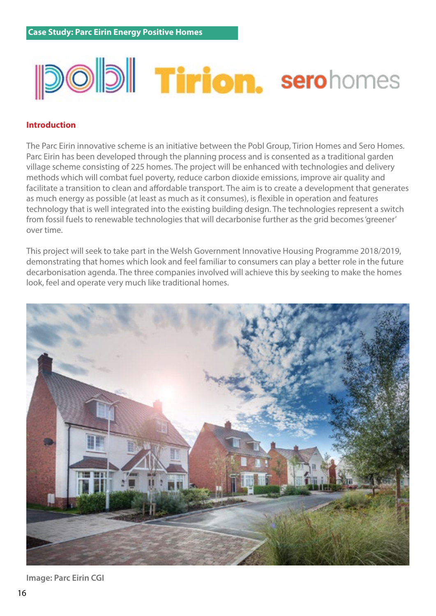# **Did Tirion. serohomes**

#### **Introduction**

The Parc Eirin innovative scheme is an initiative between the Pobl Group, Tirion Homes and Sero Homes. Parc Eirin has been developed through the planning process and is consented as a traditional garden village scheme consisting of 225 homes. The project will be enhanced with technologies and delivery methods which will combat fuel poverty, reduce carbon dioxide emissions, improve air quality and facilitate a transition to clean and affordable transport. The aim is to create a development that generates as much energy as possible (at least as much as it consumes), is flexible in operation and features technology that is well integrated into the existing building design. The technologies represent a switch from fossil fuels to renewable technologies that will decarbonise further as the grid becomes 'greener' over time.

This project will seek to take part in the Welsh Government Innovative Housing Programme 2018/2019, demonstrating that homes which look and feel familiar to consumers can play a better role in the future decarbonisation agenda. The three companies involved will achieve this by seeking to make the homes look, feel and operate very much like traditional homes.



**Image: Parc Eirin CGI**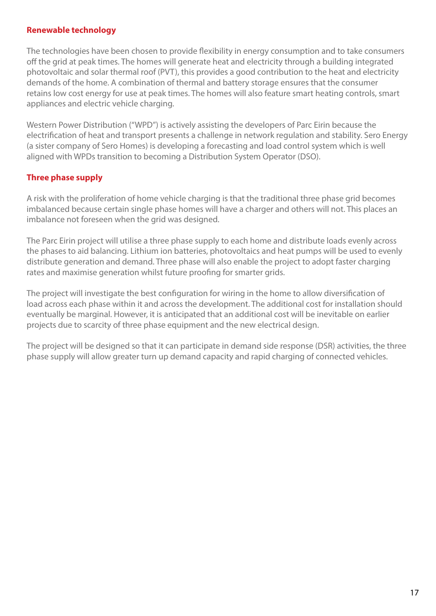#### **Renewable technology**

The technologies have been chosen to provide flexibility in energy consumption and to take consumers off the grid at peak times. The homes will generate heat and electricity through a building integrated photovoltaic and solar thermal roof (PVT), this provides a good contribution to the heat and electricity demands of the home. A combination of thermal and battery storage ensures that the consumer retains low cost energy for use at peak times. The homes will also feature smart heating controls, smart appliances and electric vehicle charging.

Western Power Distribution ("WPD") is actively assisting the developers of Parc Eirin because the electrification of heat and transport presents a challenge in network regulation and stability. Sero Energy (a sister company of Sero Homes) is developing a forecasting and load control system which is well aligned with WPDs transition to becoming a Distribution System Operator (DSO).

#### **Three phase supply**

A risk with the proliferation of home vehicle charging is that the traditional three phase grid becomes imbalanced because certain single phase homes will have a charger and others will not. This places an imbalance not foreseen when the grid was designed.

The Parc Eirin project will utilise a three phase supply to each home and distribute loads evenly across the phases to aid balancing. Lithium ion batteries, photovoltaics and heat pumps will be used to evenly distribute generation and demand. Three phase will also enable the project to adopt faster charging rates and maximise generation whilst future proofing for smarter grids.

The project will investigate the best configuration for wiring in the home to allow diversification of load across each phase within it and across the development. The additional cost for installation should eventually be marginal. However, it is anticipated that an additional cost will be inevitable on earlier projects due to scarcity of three phase equipment and the new electrical design.

The project will be designed so that it can participate in demand side response (DSR) activities, the three phase supply will allow greater turn up demand capacity and rapid charging of connected vehicles.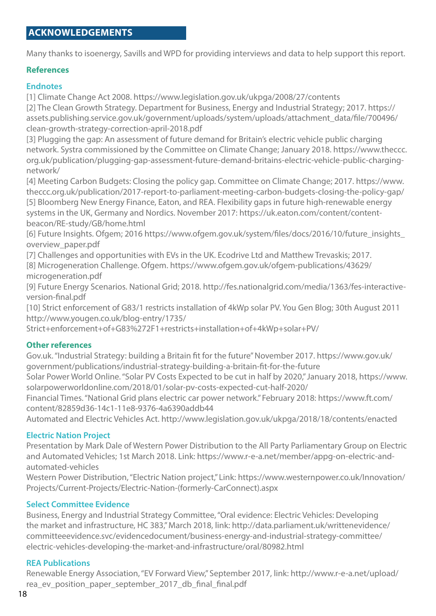### **ACKNOWLEDGEMENTs**

Many thanks to isoenergy, Savills and WPD for providing interviews and data to help support this report.

#### **References**

#### **Endnotes**

[1] Climate Change Act 2008. https://www.legislation.gov.uk/ukpga/2008/27/contents [2] The Clean Growth Strategy. Department for Business, Energy and Industrial Strategy; 2017. https:// assets.publishing.service.gov.uk/government/uploads/system/uploads/attachment\_data/file/700496/ clean-growth-strategy-correction-april-2018.pdf

[3] Plugging the gap: An assessment of future demand for Britain's electric vehicle public charging network. Systra commissioned by the Committee on Climate Change; January 2018. https://www.theccc. org.uk/publication/plugging-gap-assessment-future-demand-britains-electric-vehicle-public-chargingnetwork/

[4] Meeting Carbon Budgets: Closing the policy gap. Committee on Climate Change; 2017. https://www. theccc.org.uk/publication/2017-report-to-parliament-meeting-carbon-budgets-closing-the-policy-gap/ [5] Bloomberg New Energy Finance, Eaton, and REA. Flexibility gaps in future high-renewable energy systems in the UK, Germany and Nordics. November 2017: https://uk.eaton.com/content/contentbeacon/RE-study/GB/home.html

[6] Future Insights. Ofgem; 2016 https://www.ofgem.gov.uk/system/files/docs/2016/10/future\_insights\_ overview\_paper.pdf

[7] Challenges and opportunities with EVs in the UK. Ecodrive Ltd and Matthew Trevaskis; 2017.

[8] Microgeneration Challenge. Ofgem. https://www.ofgem.gov.uk/ofgem-publications/43629/ microgeneration.pdf

[9] Future Energy Scenarios. National Grid; 2018. http://fes.nationalgrid.com/media/1363/fes-interactiveversion-final.pdf

[10] Strict enforcement of G83/1 restricts installation of 4kWp solar PV. You Gen Blog; 30th August 2011 http://www.yougen.co.uk/blog-entry/1735/

Strict+enforcement+of+G83%272F1+restricts+installation+of+4kWp+solar+PV/

#### **Other references**

Gov.uk. "Industrial Strategy: building a Britain fit for the future" November 2017. https://www.gov.uk/ government/publications/industrial-strategy-building-a-britain-fit-for-the-future

Solar Power World Online. "Solar PV Costs Expected to be cut in half by 2020," January 2018, https://www. solarpowerworldonline.com/2018/01/solar-pv-costs-expected-cut-half-2020/

Financial Times. "National Grid plans electric car power network." February 2018: https://www.ft.com/ content/82859d36-14c1-11e8-9376-4a6390addb44

Automated and Electric Vehicles Act. http://www.legislation.gov.uk/ukpga/2018/18/contents/enacted

#### **Electric Nation Project**

Presentation by Mark Dale of Western Power Distribution to the All Party Parliamentary Group on Electric and Automated Vehicles; 1st March 2018. Link: https://www.r-e-a.net/member/appg-on-electric-andautomated-vehicles

Western Power Distribution, "Electric Nation project," Link: https://www.westernpower.co.uk/Innovation/ Projects/Current-Projects/Electric-Nation-(formerly-CarConnect).aspx

#### **Select Committee Evidence**

Business, Energy and Industrial Strategy Committee, "Oral evidence: Electric Vehicles: Developing the market and infrastructure, HC 383," March 2018, link: http://data.parliament.uk/writtenevidence/ committeeevidence.svc/evidencedocument/business-energy-and-industrial-strategy-committee/ electric-vehicles-developing-the-market-and-infrastructure/oral/80982.html

#### **REA Publications**

Renewable Energy Association, "EV Forward View," September 2017, link: http://www.r-e-a.net/upload/ rea\_ev\_position\_paper\_september\_2017\_db\_final\_final.pdf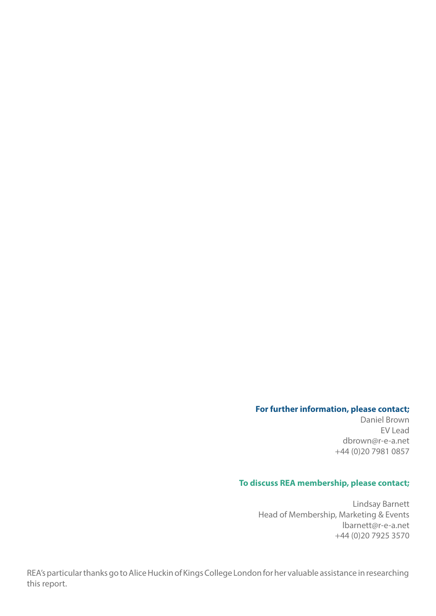#### **For further information, please contact;**

Daniel Brown EV Lead dbrown@r-e-a.net +44 (0)20 7981 0857

#### **To discuss REA membership, please contact;**

Lindsay Barnett Head of Membership, Marketing & Events lbarnett@r-e-a.net +44 (0)20 7925 3570

REA's particular thanks go to Alice Huckin of Kings College London for her valuable assistance in researching this report.